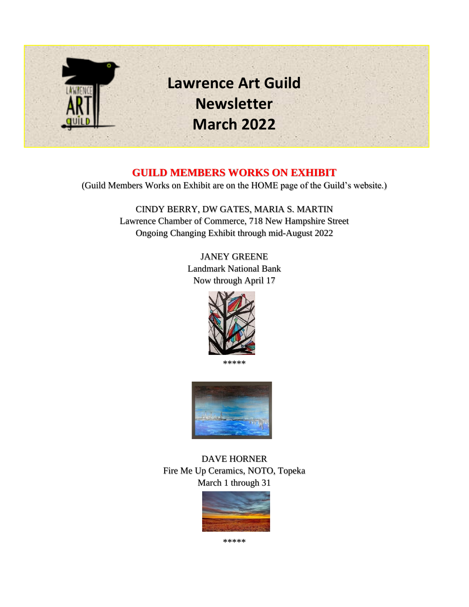

## **GUILD MEMBERS WORKS ON EXHIBIT**

(Guild Members Works on Exhibit are on the HOME page of the Guild's website.)

CINDY BERRY, DW GATES, MARIA S. MARTIN Lawrence Chamber of Commerce, 718 New Hampshire Street Ongoing Changing Exhibit through mid-August 2022

> JANEY GREENE Landmark National Bank Now through April 17



\*\*\*\*\*



DAVE HORNER Fire Me Up Ceramics, NOTO, Topeka March 1 through 31



\*\*\*\*\*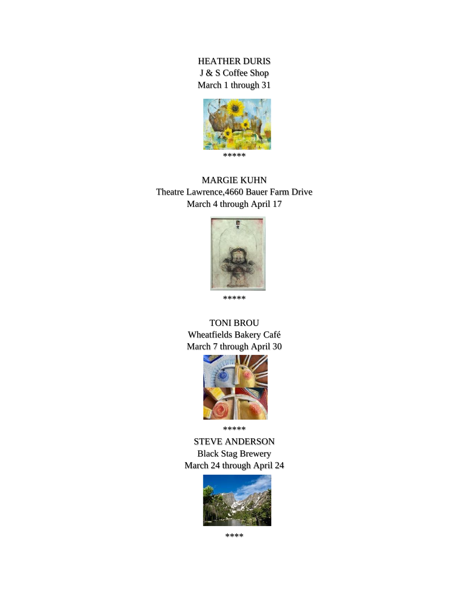#### HEATHER DURIS J & S Coffee Shop March 1 through 31



MARGIE KUHN Theatre Lawrence,4660 Bauer Farm Drive March 4 through April 17



\*\*\*\*\*

#### TONI BROU Wheatfields Bakery Café March 7 through April 30



\*\*\*\*\*

STEVE ANDERSON Black Stag Brewery March 24 through April 24



\*\*\*\*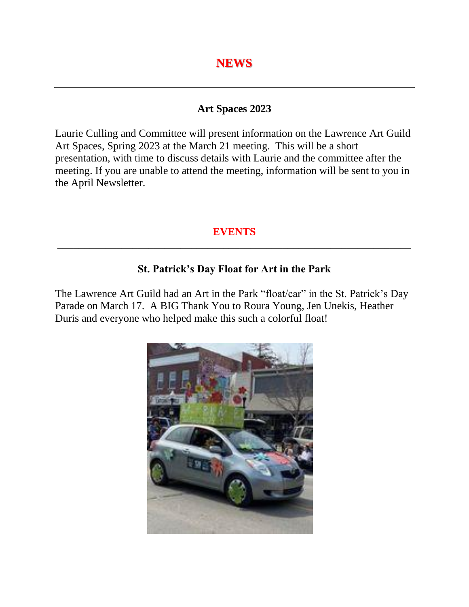#### **Art Spaces 2023**

Laurie Culling and Committee will present information on the Lawrence Art Guild Art Spaces, Spring 2023 at the March 21 meeting. This will be a short presentation, with time to discuss details with Laurie and the committee after the meeting. If you are unable to attend the meeting, information will be sent to you in the April Newsletter.

## **EVENTS \_\_\_\_\_\_\_\_\_\_\_\_\_\_\_\_\_\_\_\_\_\_\_\_\_\_\_\_\_\_\_\_\_\_\_\_\_\_\_\_\_\_\_\_\_\_\_\_\_\_\_\_\_\_\_\_\_\_\_\_\_\_\_\_\_\_**

## **St. Patrick's Day Float for Art in the Park**

The Lawrence Art Guild had an Art in the Park "float/car" in the St. Patrick's Day Parade on March 17. A BIG Thank You to Roura Young, Jen Unekis, Heather Duris and everyone who helped make this such a colorful float!